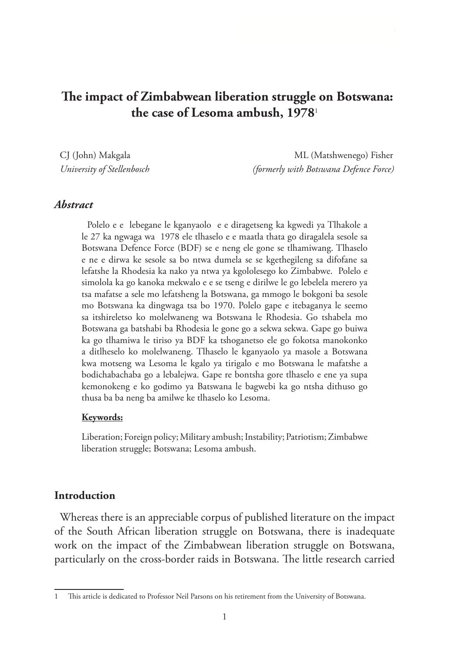# **The impact of Zimbabwean liberation struggle on Botswana: the case of Lesoma ambush, 1978**<sup>1</sup>

CJ (John) Makgala ML (Matshwenego) Fisher *University of Stellenbosch (formerly with Botswana Defence Force)*

*The case of Lesoma ambush* 

#### *Abstract*

Polelo e e lebegane le kganyaolo e e diragetseng ka kgwedi ya Tlhakole a le 27 ka ngwaga wa 1978 ele tlhaselo e e maatla thata go diragalela sesole sa Botswana Defence Force (BDF) se e neng ele gone se tlhamiwang. Tlhaselo e ne e dirwa ke sesole sa bo ntwa dumela se se kgethegileng sa difofane sa lefatshe la Rhodesia ka nako ya ntwa ya kgololesego ko Zimbabwe. Polelo e simolola ka go kanoka mekwalo e e se tseng e dirilwe le go lebelela merero ya tsa mafatse a sele mo lefatsheng la Botswana, ga mmogo le bokgoni ba sesole mo Botswana ka dingwaga tsa bo 1970. Polelo gape e itebaganya le seemo sa itshireletso ko molelwaneng wa Botswana le Rhodesia. Go tshabela mo Botswana ga batshabi ba Rhodesia le gone go a sekwa sekwa. Gape go buiwa ka go tlhamiwa le tiriso ya BDF ka tshoganetso ele go fokotsa manokonko a ditlheselo ko molelwaneng. Tlhaselo le kganyaolo ya masole a Botswana kwa motseng wa Lesoma le kgalo ya tirigalo e mo Botswana le mafatshe a bodichabachaba go a lebalejwa. Gape re bontsha gore tlhaselo e ene ya supa kemonokeng e ko godimo ya Batswana le bagwebi ka go ntsha dithuso go thusa ba ba neng ba amilwe ke tlhaselo ko Lesoma.

#### **Keywords:**

Liberation; Foreign policy; Military ambush; Instability; Patriotism; Zimbabwe liberation struggle; Botswana; Lesoma ambush.

#### **Introduction**

Whereas there is an appreciable corpus of published literature on the impact of the South African liberation struggle on Botswana, there is inadequate work on the impact of the Zimbabwean liberation struggle on Botswana, particularly on the cross-border raids in Botswana. The little research carried

<sup>1</sup> This article is dedicated to Professor Neil Parsons on his retirement from the University of Botswana.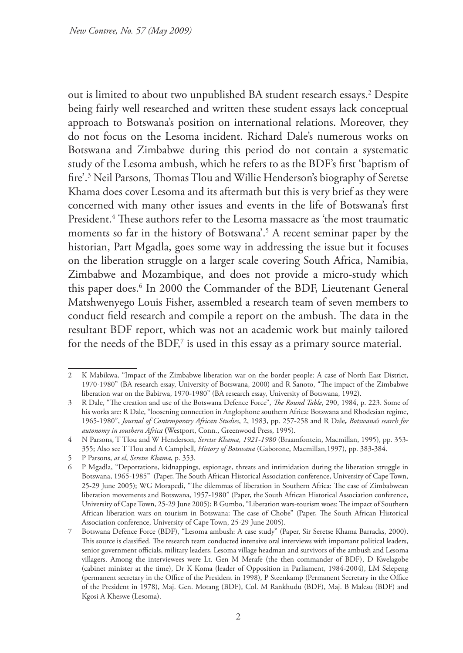out is limited to about two unpublished BA student research essays.2 Despite being fairly well researched and written these student essays lack conceptual approach to Botswana's position on international relations. Moreover, they do not focus on the Lesoma incident. Richard Dale's numerous works on Botswana and Zimbabwe during this period do not contain a systematic study of the Lesoma ambush, which he refers to as the BDF's first 'baptism of fire'.3 Neil Parsons, Thomas Tlou and Willie Henderson's biography of Seretse Khama does cover Lesoma and its aftermath but this is very brief as they were concerned with many other issues and events in the life of Botswana's first President.4 These authors refer to the Lesoma massacre as 'the most traumatic moments so far in the history of Botswana<sup>'</sup>.<sup>5</sup> A recent seminar paper by the historian, Part Mgadla, goes some way in addressing the issue but it focuses on the liberation struggle on a larger scale covering South Africa, Namibia, Zimbabwe and Mozambique, and does not provide a micro-study which this paper does.6 In 2000 the Commander of the BDF, Lieutenant General Matshwenyego Louis Fisher, assembled a research team of seven members to conduct field research and compile a report on the ambush. The data in the resultant BDF report, which was not an academic work but mainly tailored for the needs of the  $BDF<sub>l</sub>$ <sup>7</sup> is used in this essay as a primary source material.

<sup>2</sup> K Mabikwa, "Impact of the Zimbabwe liberation war on the border people: A case of North East District, 1970-1980" (BA research essay, University of Botswana, 2000) and R Sanoto, "The impact of the Zimbabwe liberation war on the Babirwa, 1970-1980" (BA research essay, University of Botswana, 1992).

<sup>3</sup> R Dale, "The creation and use of the Botswana Defence Force", *The Round Table*, 290, 1984, p. 223. Some of his works are: R Dale, "loosening connection in Anglophone southern Africa: Botswana and Rhodesian regime, 1965-1980", *Journal of Contemporary African Studies*, 2, 1983, pp. 257-258 and R Dale*, Botswana's search for autonomy in southern Africa* **(**Westport, Conn., Greenwood Press, 1995).

<sup>4</sup> N Parsons, T Tlou and W Henderson, *Seretse Khama, 1921-1980* (Braamfontein, Macmillan, 1995), pp. 353- 355; Also see T Tlou and A Campbell, *History of Botswana* (Gaborone, Macmillan,1997), pp. 383-384.

<sup>5</sup> P Parsons, *at el*, *Seretse Khama*, p. 353.

<sup>6</sup> P Mgadla, "Deportations, kidnappings, espionage, threats and intimidation during the liberation struggle in Botswana, 1965-1985" (Paper, The South African Historical Association conference, University of Cape Town, 25-29 June 2005); WG Morapedi, "The dilemmas of liberation in Southern Africa: The case of Zimbabwean liberation movements and Botswana, 1957-1980" (Paper, the South African Historical Association conference, University of Cape Town, 25-29 June 2005); B Gumbo, "Liberation wars-tourism woes: The impact of Southern African liberation wars on tourism in Botswana: The case of Chobe" (Paper, The South African Historical Association conference, University of Cape Town, 25-29 June 2005).

<sup>7</sup> Botswana Defence Force (BDF), "Lesoma ambush: A case study" (Paper, Sir Seretse Khama Barracks, 2000). This source is classified. The research team conducted intensive oral interviews with important political leaders, senior government officials, military leaders, Lesoma village headman and survivors of the ambush and Lesoma villagers. Among the interviewees were Lt. Gen M Merafe (the then commander of BDF), D Kwelagobe (cabinet minister at the time), Dr K Koma (leader of Opposition in Parliament, 1984-2004), LM Selepeng (permanent secretary in the Office of the President in 1998), P Steenkamp (Permanent Secretary in the Office of the President in 1978), Maj. Gen. Motang (BDF), Col. M Rankhudu (BDF), Maj. B Malesu (BDF) and Kgosi A Kheswe (Lesoma).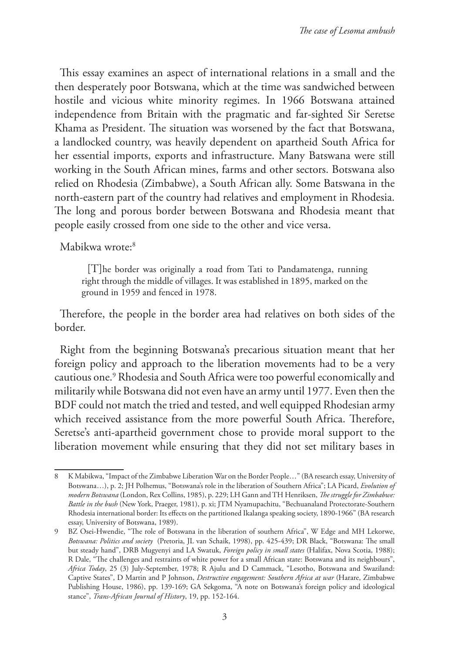This essay examines an aspect of international relations in a small and the then desperately poor Botswana, which at the time was sandwiched between hostile and vicious white minority regimes. In 1966 Botswana attained independence from Britain with the pragmatic and far-sighted Sir Seretse Khama as President. The situation was worsened by the fact that Botswana, a landlocked country, was heavily dependent on apartheid South Africa for her essential imports, exports and infrastructure. Many Batswana were still working in the South African mines, farms and other sectors. Botswana also relied on Rhodesia (Zimbabwe), a South African ally. Some Batswana in the north-eastern part of the country had relatives and employment in Rhodesia. The long and porous border between Botswana and Rhodesia meant that people easily crossed from one side to the other and vice versa.

Mabikwa wrote:<sup>8</sup>

[T]he border was originally a road from Tati to Pandamatenga, running right through the middle of villages. It was established in 1895, marked on the ground in 1959 and fenced in 1978.

Therefore, the people in the border area had relatives on both sides of the border.

Right from the beginning Botswana's precarious situation meant that her foreign policy and approach to the liberation movements had to be a very cautious one.9 Rhodesia and South Africa were too powerful economically and militarily while Botswana did not even have an army until 1977. Even then the BDF could not match the tried and tested, and well equipped Rhodesian army which received assistance from the more powerful South Africa. Therefore, Seretse's anti-apartheid government chose to provide moral support to the liberation movement while ensuring that they did not set military bases in

<sup>8</sup> K Mabikwa, "Impact of the Zimbabwe Liberation War on the Border People…" (BA research essay, University of Botswana…), p. 2; JH Polhemus, "Botswana's role in the liberation of Southern Africa"; LA Picard, *Evolution of modern Botswana* (London, Rex Collins, 1985), p. 229; LH Gann and TH Henriksen, *The struggle for Zimbabwe: Battle in the bush* (New York, Praeger, 1981), p. xi; JTM Nyamupachitu, "Bechuanaland Protectorate-Southern Rhodesia international border: Its effects on the partitioned Ikalanga speaking society, 1890-1966" (BA research essay, University of Botswana, 1989).

<sup>9</sup> BZ Osei-Hwendie, "The role of Botswana in the liberation of southern Africa", W Edge and MH Lekorwe, *Botswana: Politics and society* (Pretoria, JL van Schaik, 1998), pp. 425-439; DR Black, "Botswana: The small but steady hand", DRB Mugyenyi and LA Swatuk, *Foreign policy in small states* (Halifax, Nova Scotia, 1988); R Dale, "The challenges and restraints of white power for a small African state: Botswana and its neighbours", *Africa Today*, 25 (3) July-September, 1978; R Ajulu and D Cammack, "Lesotho, Botswana and Swaziland: Captive States", D Martin and P Johnson, *Destructive engagement: Southern Africa at war* (Harare, Zimbabwe Publishing House, 1986), pp. 139-169; GA Sekgoma, "A note on Botswana's foreign policy and ideological stance", *Trans-African Journal of History*, 19, pp. 152-164.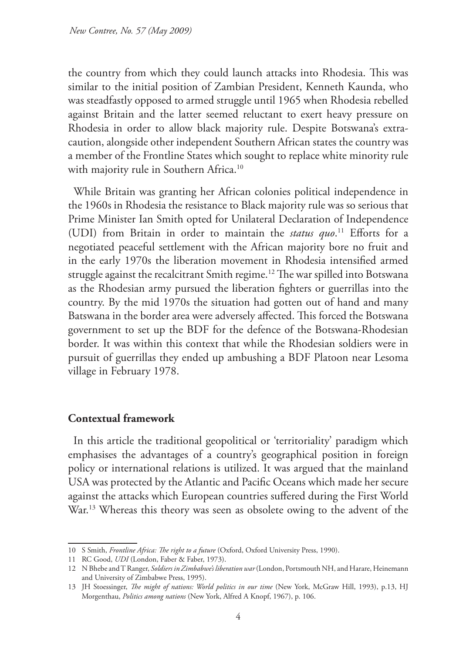the country from which they could launch attacks into Rhodesia. This was similar to the initial position of Zambian President, Kenneth Kaunda, who was steadfastly opposed to armed struggle until 1965 when Rhodesia rebelled against Britain and the latter seemed reluctant to exert heavy pressure on Rhodesia in order to allow black majority rule. Despite Botswana's extracaution, alongside other independent Southern African states the country was a member of the Frontline States which sought to replace white minority rule with majority rule in Southern Africa.<sup>10</sup>

While Britain was granting her African colonies political independence in the 1960s in Rhodesia the resistance to Black majority rule was so serious that Prime Minister Ian Smith opted for Unilateral Declaration of Independence (UDI) from Britain in order to maintain the *status quo*. 11 Efforts for a negotiated peaceful settlement with the African majority bore no fruit and in the early 1970s the liberation movement in Rhodesia intensified armed struggle against the recalcitrant Smith regime.<sup>12</sup> The war spilled into Botswana as the Rhodesian army pursued the liberation fighters or guerrillas into the country. By the mid 1970s the situation had gotten out of hand and many Batswana in the border area were adversely affected. This forced the Botswana government to set up the BDF for the defence of the Botswana-Rhodesian border. It was within this context that while the Rhodesian soldiers were in pursuit of guerrillas they ended up ambushing a BDF Platoon near Lesoma village in February 1978.

### **Contextual framework**

In this article the traditional geopolitical or 'territoriality' paradigm which emphasises the advantages of a country's geographical position in foreign policy or international relations is utilized. It was argued that the mainland USA was protected by the Atlantic and Pacific Oceans which made her secure against the attacks which European countries suffered during the First World War.<sup>13</sup> Whereas this theory was seen as obsolete owing to the advent of the

<sup>10</sup> S Smith, *Frontline Africa: The right to a future* (Oxford, Oxford University Press, 1990).

<sup>11</sup> RC Good, *UDI* (London, Faber & Faber, 1973).

<sup>12</sup> N Bhebe and T Ranger, *Soldiers in Zimbabwe's liberation war* (London, Portsmouth NH, and Harare, Heinemann and University of Zimbabwe Press, 1995).

<sup>13</sup> JH Stoessinger, *The might of nations: World politics in our time* (New York, McGraw Hill, 1993), p.13, HJ Morgenthau, *Politics among nations* (New York, Alfred A Knopf, 1967), p. 106.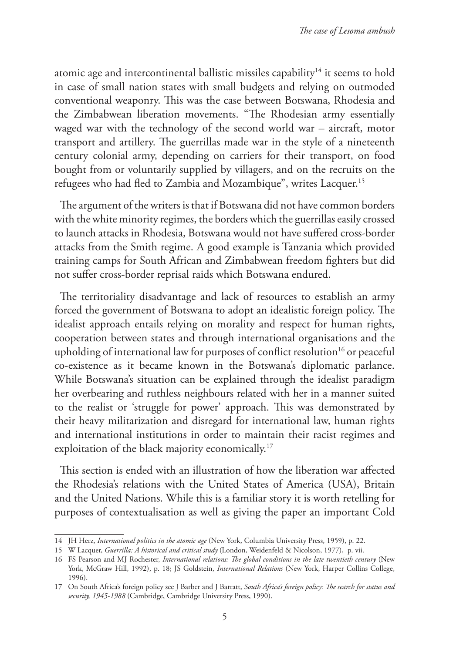atomic age and intercontinental ballistic missiles capability<sup>14</sup> it seems to hold in case of small nation states with small budgets and relying on outmoded conventional weaponry. This was the case between Botswana, Rhodesia and the Zimbabwean liberation movements. "The Rhodesian army essentially waged war with the technology of the second world war – aircraft, motor transport and artillery. The guerrillas made war in the style of a nineteenth century colonial army, depending on carriers for their transport, on food bought from or voluntarily supplied by villagers, and on the recruits on the refugees who had fled to Zambia and Mozambique", writes Lacquer.15

The argument of the writers is that if Botswana did not have common borders with the white minority regimes, the borders which the guerrillas easily crossed to launch attacks in Rhodesia, Botswana would not have suffered cross-border attacks from the Smith regime. A good example is Tanzania which provided training camps for South African and Zimbabwean freedom fighters but did not suffer cross-border reprisal raids which Botswana endured.

The territoriality disadvantage and lack of resources to establish an army forced the government of Botswana to adopt an idealistic foreign policy. The idealist approach entails relying on morality and respect for human rights, cooperation between states and through international organisations and the upholding of international law for purposes of conflict resolution<sup>16</sup> or peaceful co-existence as it became known in the Botswana's diplomatic parlance. While Botswana's situation can be explained through the idealist paradigm her overbearing and ruthless neighbours related with her in a manner suited to the realist or 'struggle for power' approach. This was demonstrated by their heavy militarization and disregard for international law, human rights and international institutions in order to maintain their racist regimes and exploitation of the black majority economically.<sup>17</sup>

This section is ended with an illustration of how the liberation war affected the Rhodesia's relations with the United States of America (USA), Britain and the United Nations. While this is a familiar story it is worth retelling for purposes of contextualisation as well as giving the paper an important Cold

<sup>14</sup> JH Herz, *International politics in the atomic age* (New York, Columbia University Press, 1959), p. 22.

<sup>15</sup> W Lacquer, *Guerrilla: A historical and critical study* (London, Weidenfeld & Nicolson, 1977), p. vii.

<sup>16</sup> FS Pearson and MJ Rochester, *International relations: The global conditions in the late twentieth century* (New York, McGraw Hill, 1992), p. 18; JS Goldstein, *International Relations* (New York, Harper Collins College, 1996).

<sup>17</sup> On South Africa's foreign policy see J Barber and J Barratt, *South Africa's foreign policy: The search for status and security, 1945-1988* (Cambridge, Cambridge University Press, 1990).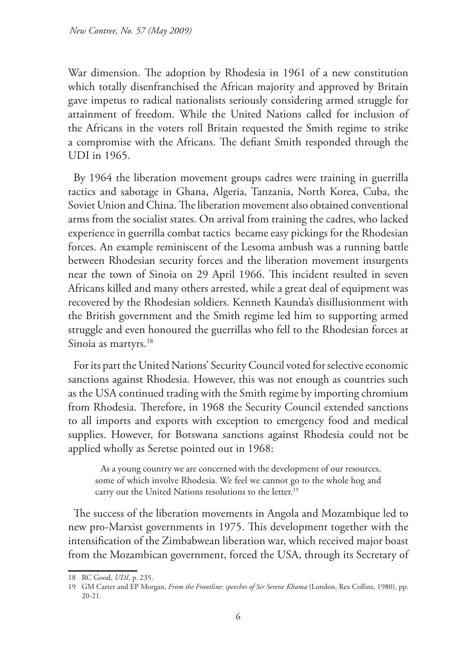War dimension. The adoption by Rhodesia in 1961 of a new constitution which totally disenfranchised the African majority and approved by Britain gave impetus to radical nationalists seriously considering armed struggle for attainment of freedom. While the United Nations called for inclusion of the Africans in the voters roll Britain requested the Smith regime to strike a compromise with the Africans. The defiant Smith responded through the UDI in 1965.

By 1964 the liberation movement groups cadres were training in guerrilla tactics and sabotage in Ghana, Algeria, Tanzania, North Korea, Cuba, the Soviet Union and China. The liberation movement also obtained conventional arms from the socialist states. On arrival from training the cadres, who lacked experience in guerrilla combat tactics became easy pickings for the Rhodesian forces. An example reminiscent of the Lesoma ambush was a running battle between Rhodesian security forces and the liberation movement insurgents near the town of Sinoia on 29 April 1966. This incident resulted in seven Africans killed and many others arrested, while a great deal of equipment was recovered by the Rhodesian soldiers. Kenneth Kaunda's disillusionment with the British government and the Smith regime led him to supporting armed struggle and even honoured the guerrillas who fell to the Rhodesian forces at Sinoia as martyrs.<sup>18</sup>

For its part the United Nations' Security Council voted for selective economic sanctions against Rhodesia. However, this was not enough as countries such as the USA continued trading with the Smith regime by importing chromium from Rhodesia. Therefore, in 1968 the Security Council extended sanctions to all imports and exports with exception to emergency food and medical supplies. However, for Botswana sanctions against Rhodesia could not be applied wholly as Seretse pointed out in 1968:

As a young country we are concerned with the development of our resources, some of which involve Rhodesia. We feel we cannot go to the whole hog and carry out the United Nations resolutions to the letter.<sup>19</sup>

The success of the liberation movements in Angola and Mozambique led to new pro-Marxist governments in 1975. This development together with the intensification of the Zimbabwean liberation war, which received major boast from the Mozambican government, forced the USA, through its Secretary of

<sup>18</sup> RC Good, *UDI*, p. 235.

<sup>19</sup> GM Carter and EP Morgan, *From the Frontline: speeches of Sir Seretse Khama* (London, Rex Collins, 1980), pp. 20-21.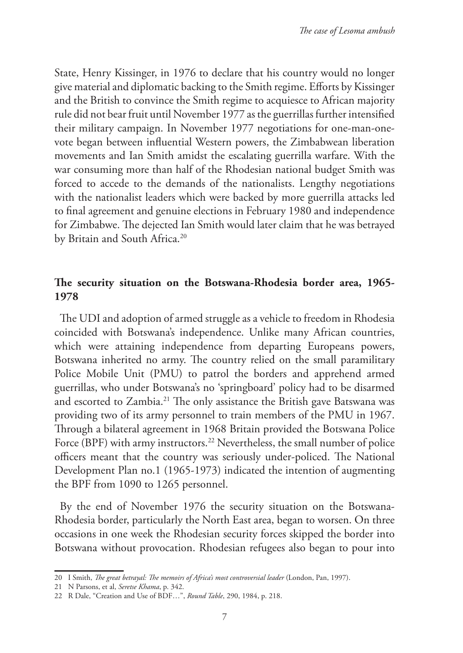State, Henry Kissinger, in 1976 to declare that his country would no longer give material and diplomatic backing to the Smith regime. Efforts by Kissinger and the British to convince the Smith regime to acquiesce to African majority rule did not bear fruit until November 1977 as the guerrillas further intensified their military campaign. In November 1977 negotiations for one-man-onevote began between influential Western powers, the Zimbabwean liberation movements and Ian Smith amidst the escalating guerrilla warfare. With the war consuming more than half of the Rhodesian national budget Smith was forced to accede to the demands of the nationalists. Lengthy negotiations with the nationalist leaders which were backed by more guerrilla attacks led to final agreement and genuine elections in February 1980 and independence for Zimbabwe. The dejected Ian Smith would later claim that he was betrayed by Britain and South Africa.<sup>20</sup>

## **The security situation on the Botswana-Rhodesia border area, 1965- 1978**

The UDI and adoption of armed struggle as a vehicle to freedom in Rhodesia coincided with Botswana's independence. Unlike many African countries, which were attaining independence from departing Europeans powers, Botswana inherited no army. The country relied on the small paramilitary Police Mobile Unit (PMU) to patrol the borders and apprehend armed guerrillas, who under Botswana's no 'springboard' policy had to be disarmed and escorted to Zambia.<sup>21</sup> The only assistance the British gave Batswana was providing two of its army personnel to train members of the PMU in 1967. Through a bilateral agreement in 1968 Britain provided the Botswana Police Force (BPF) with army instructors.<sup>22</sup> Nevertheless, the small number of police officers meant that the country was seriously under-policed. The National Development Plan no.1 (1965-1973) indicated the intention of augmenting the BPF from 1090 to 1265 personnel.

By the end of November 1976 the security situation on the Botswana-Rhodesia border, particularly the North East area, began to worsen. On three occasions in one week the Rhodesian security forces skipped the border into Botswana without provocation. Rhodesian refugees also began to pour into

<sup>20</sup> I Smith, *The great betrayal: The memoirs of Africa's most controversial leader* (London, Pan, 1997).

<sup>21</sup> N Parsons, et al, *Seretse Khama*, p. 342.

<sup>22</sup> R Dale, "Creation and Use of BDF…", *Round Table*, 290, 1984, p. 218.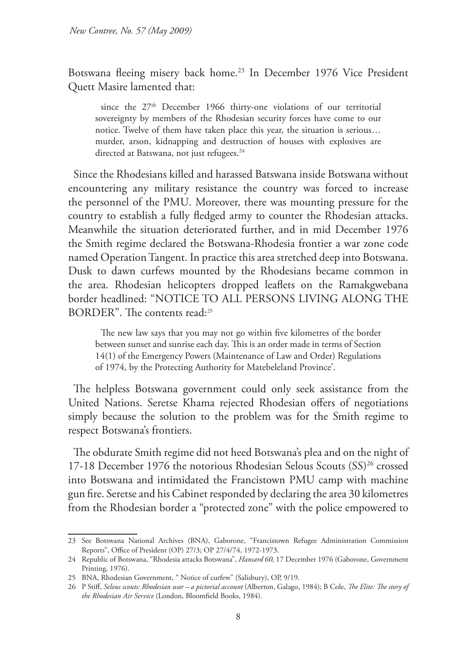Botswana fleeing misery back home.23 In December 1976 Vice President Quett Masire lamented that:

since the  $27<sup>th</sup>$  December 1966 thirty-one violations of our territorial sovereignty by members of the Rhodesian security forces have come to our notice. Twelve of them have taken place this year, the situation is serious… murder, arson, kidnapping and destruction of houses with explosives are directed at Batswana, not just refugees.<sup>24</sup>

Since the Rhodesians killed and harassed Batswana inside Botswana without encountering any military resistance the country was forced to increase the personnel of the PMU. Moreover, there was mounting pressure for the country to establish a fully fledged army to counter the Rhodesian attacks. Meanwhile the situation deteriorated further, and in mid December 1976 the Smith regime declared the Botswana-Rhodesia frontier a war zone code named Operation Tangent. In practice this area stretched deep into Botswana. Dusk to dawn curfews mounted by the Rhodesians became common in the area. Rhodesian helicopters dropped leaflets on the Ramakgwebana border headlined: "NOTICE TO ALL PERSONS LIVING ALONG THE BORDER". The contents read:25

The new law says that you may not go within five kilometres of the border between sunset and sunrise each day. This is an order made in terms of Section 14(1) of the Emergency Powers (Maintenance of Law and Order) Regulations of 1974, by the Protecting Authority for Matebeleland Province'.

The helpless Botswana government could only seek assistance from the United Nations. Seretse Khama rejected Rhodesian offers of negotiations simply because the solution to the problem was for the Smith regime to respect Botswana's frontiers.

The obdurate Smith regime did not heed Botswana's plea and on the night of 17-18 December 1976 the notorious Rhodesian Selous Scouts (SS)<sup>26</sup> crossed into Botswana and intimidated the Francistown PMU camp with machine gun fire. Seretse and his Cabinet responded by declaring the area 30 kilometres from the Rhodesian border a "protected zone" with the police empowered to

<sup>23</sup> See Botswana National Archives (BNA), Gaborone, "Francistown Refugee Administration Commission Reports", Office of President (OP) 27/3; OP 27/4/74, 1972-1973.

<sup>24</sup> Republic of Botswana, "Rhodesia attacks Botswana", *Hansard 60,* 17 December 1976 (Gaborone, Government Printing, 1976).

<sup>25</sup> BNA, Rhodesian Government, " Notice of curfew" (Salisbury), OP, 9/19.

<sup>26</sup> P Stiff, *Selous scouts: Rhodesian war – a pictorial account* (Alberton, Galago, 1984); B Cole, *The Elite: The story of the Rhodesian Air Service* (London, Bloomfield Books, 1984).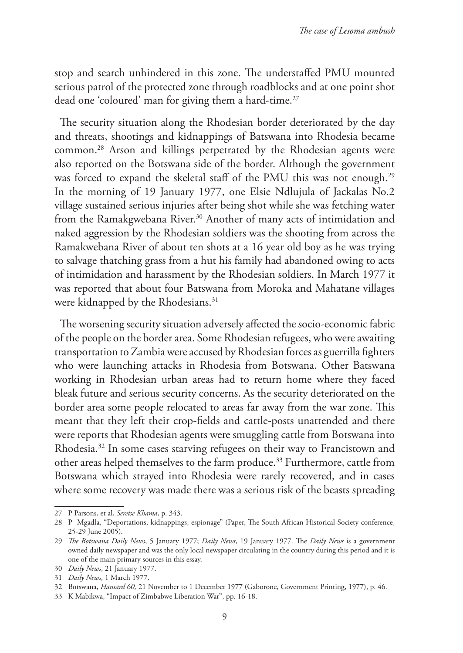stop and search unhindered in this zone. The understaffed PMU mounted serious patrol of the protected zone through roadblocks and at one point shot dead one 'coloured' man for giving them a hard-time.<sup>27</sup>

The security situation along the Rhodesian border deteriorated by the day and threats, shootings and kidnappings of Batswana into Rhodesia became common.28 Arson and killings perpetrated by the Rhodesian agents were also reported on the Botswana side of the border. Although the government was forced to expand the skeletal staff of the PMU this was not enough.<sup>29</sup> In the morning of 19 January 1977, one Elsie Ndlujula of Jackalas No.2 village sustained serious injuries after being shot while she was fetching water from the Ramakgwebana River.<sup>30</sup> Another of many acts of intimidation and naked aggression by the Rhodesian soldiers was the shooting from across the Ramakwebana River of about ten shots at a 16 year old boy as he was trying to salvage thatching grass from a hut his family had abandoned owing to acts of intimidation and harassment by the Rhodesian soldiers. In March 1977 it was reported that about four Batswana from Moroka and Mahatane villages were kidnapped by the Rhodesians.<sup>31</sup>

The worsening security situation adversely affected the socio-economic fabric of the people on the border area. Some Rhodesian refugees, who were awaiting transportation to Zambia were accused by Rhodesian forces as guerrilla fighters who were launching attacks in Rhodesia from Botswana. Other Batswana working in Rhodesian urban areas had to return home where they faced bleak future and serious security concerns. As the security deteriorated on the border area some people relocated to areas far away from the war zone. This meant that they left their crop-fields and cattle-posts unattended and there were reports that Rhodesian agents were smuggling cattle from Botswana into Rhodesia.32 In some cases starving refugees on their way to Francistown and other areas helped themselves to the farm produce.33 Furthermore, cattle from Botswana which strayed into Rhodesia were rarely recovered, and in cases where some recovery was made there was a serious risk of the beasts spreading

<sup>27</sup> P Parsons, et al, *Seretse Khama*, p. 343.

<sup>28</sup> P Mgadla, "Deportations, kidnappings, espionage" (Paper, The South African Historical Society conference, 25-29 June 2005).

<sup>29</sup> *The Botswana Daily News*, 5 January 1977; *Daily News*, 19 January 1977. The *Daily News* is a government owned daily newspaper and was the only local newspaper circulating in the country during this period and it is one of the main primary sources in this essay.

<sup>30</sup> *Daily News*, 21 January 1977.

<sup>31</sup> *Daily News*, 1 March 1977.

<sup>32</sup> Botswana, *Hansard 60,* 21 November to 1 December 1977 (Gaborone, Government Printing, 1977), p. 46.

<sup>33</sup> K Mabikwa, "Impact of Zimbabwe Liberation War", pp. 16-18.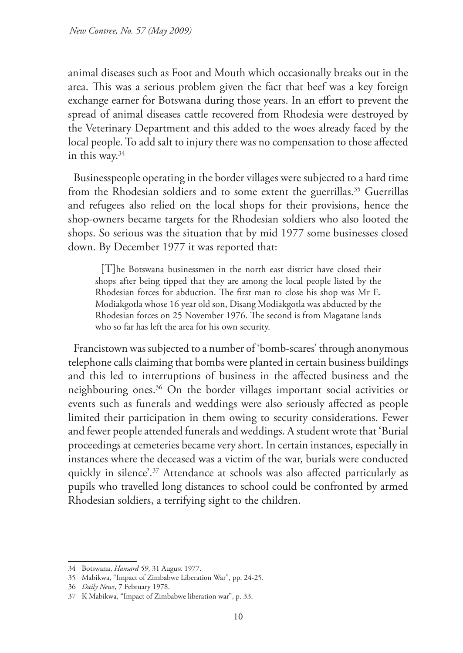animal diseases such as Foot and Mouth which occasionally breaks out in the area. This was a serious problem given the fact that beef was a key foreign exchange earner for Botswana during those years. In an effort to prevent the spread of animal diseases cattle recovered from Rhodesia were destroyed by the Veterinary Department and this added to the woes already faced by the local people. To add salt to injury there was no compensation to those affected in this way.34

Businesspeople operating in the border villages were subjected to a hard time from the Rhodesian soldiers and to some extent the guerrillas.<sup>35</sup> Guerrillas and refugees also relied on the local shops for their provisions, hence the shop-owners became targets for the Rhodesian soldiers who also looted the shops. So serious was the situation that by mid 1977 some businesses closed down. By December 1977 it was reported that:

[T]he Botswana businessmen in the north east district have closed their shops after being tipped that they are among the local people listed by the Rhodesian forces for abduction. The first man to close his shop was Mr E. Modiakgotla whose 16 year old son, Disang Modiakgotla was abducted by the Rhodesian forces on 25 November 1976. The second is from Magatane lands who so far has left the area for his own security.

Francistown was subjected to a number of 'bomb-scares' through anonymous telephone calls claiming that bombs were planted in certain business buildings and this led to interruptions of business in the affected business and the neighbouring ones.36 On the border villages important social activities or events such as funerals and weddings were also seriously affected as people limited their participation in them owing to security considerations. Fewer and fewer people attended funerals and weddings. A student wrote that 'Burial proceedings at cemeteries became very short. In certain instances, especially in instances where the deceased was a victim of the war, burials were conducted quickly in silence'.<sup>37</sup> Attendance at schools was also affected particularly as pupils who travelled long distances to school could be confronted by armed Rhodesian soldiers, a terrifying sight to the children.

<sup>34</sup> Botswana, *Hansard 59*, 31 August 1977.

<sup>35</sup> Mabikwa, "Impact of Zimbabwe Liberation War", pp. 24-25.

<sup>36</sup> *Daily News*, 7 February 1978.

<sup>37</sup> K Mabikwa, "Impact of Zimbabwe liberation war", p. 33.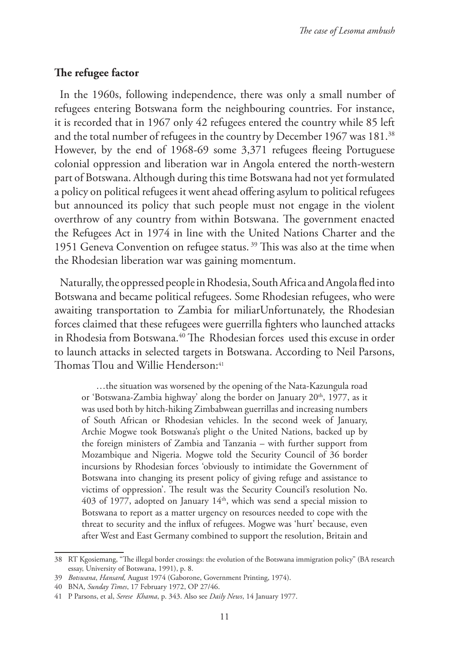### **The refugee factor**

In the 1960s, following independence, there was only a small number of refugees entering Botswana form the neighbouring countries. For instance, it is recorded that in 1967 only 42 refugees entered the country while 85 left and the total number of refugees in the country by December 1967 was 181.<sup>38</sup> However, by the end of 1968-69 some 3,371 refugees fleeing Portuguese colonial oppression and liberation war in Angola entered the north-western part of Botswana. Although during this time Botswana had not yet formulated a policy on political refugees it went ahead offering asylum to political refugees but announced its policy that such people must not engage in the violent overthrow of any country from within Botswana. The government enacted the Refugees Act in 1974 in line with the United Nations Charter and the 1951 Geneva Convention on refugee status. 39 This was also at the time when the Rhodesian liberation war was gaining momentum.

Naturally, the oppressed people in Rhodesia, South Africa and Angola fled into Botswana and became political refugees. Some Rhodesian refugees, who were awaiting transportation to Zambia for miliarUnfortunately, the Rhodesian forces claimed that these refugees were guerrilla fighters who launched attacks in Rhodesia from Botswana.<sup>40</sup> The Rhodesian forces used this excuse in order to launch attacks in selected targets in Botswana. According to Neil Parsons, Thomas Tlou and Willie Henderson:<sup>41</sup>

 …the situation was worsened by the opening of the Nata-Kazungula road or 'Botswana-Zambia highway' along the border on January 20<sup>th</sup>, 1977, as it was used both by hitch-hiking Zimbabwean guerrillas and increasing numbers of South African or Rhodesian vehicles. In the second week of January, Archie Mogwe took Botswana's plight o the United Nations, backed up by the foreign ministers of Zambia and Tanzania – with further support from Mozambique and Nigeria. Mogwe told the Security Council of 36 border incursions by Rhodesian forces 'obviously to intimidate the Government of Botswana into changing its present policy of giving refuge and assistance to victims of oppression'. The result was the Security Council's resolution No. 403 of 1977, adopted on January  $14<sup>th</sup>$ , which was send a special mission to Botswana to report as a matter urgency on resources needed to cope with the threat to security and the influx of refugees. Mogwe was 'hurt' because, even after West and East Germany combined to support the resolution, Britain and

<sup>38</sup> RT Kgosiemang, "The illegal border crossings: the evolution of the Botswana immigration policy" (BA research essay, University of Botswana, 1991), p. 8.

<sup>39</sup> *Botswana*, *Hansard,* August 1974 (Gaborone, Government Printing, 1974).

<sup>40</sup> BNA, *Sunday Times*, 17 February 1972, OP 27/46.

<sup>41</sup> P Parsons, et al, *Serese Khama*, p. 343. Also see *Daily News*, 14 January 1977.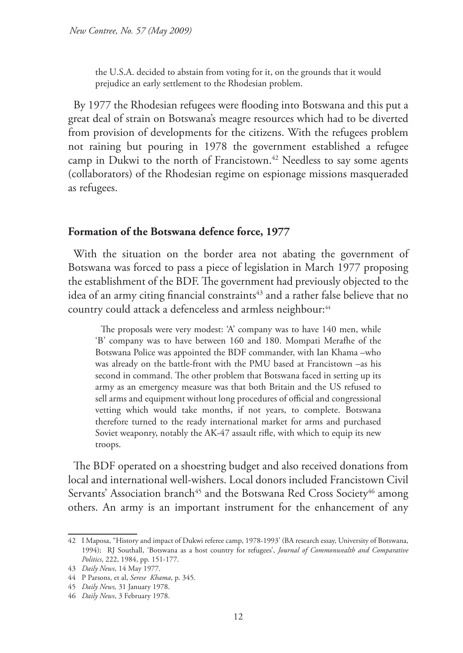the U.S.A. decided to abstain from voting for it, on the grounds that it would prejudice an early settlement to the Rhodesian problem.

By 1977 the Rhodesian refugees were flooding into Botswana and this put a great deal of strain on Botswana's meagre resources which had to be diverted from provision of developments for the citizens. With the refugees problem not raining but pouring in 1978 the government established a refugee camp in Dukwi to the north of Francistown.<sup>42</sup> Needless to say some agents (collaborators) of the Rhodesian regime on espionage missions masqueraded as refugees.

#### **Formation of the Botswana defence force, 1977**

With the situation on the border area not abating the government of Botswana was forced to pass a piece of legislation in March 1977 proposing the establishment of the BDF. The government had previously objected to the idea of an army citing financial constraints<sup>43</sup> and a rather false believe that no country could attack a defenceless and armless neighbour:<sup>44</sup>

The proposals were very modest: 'A' company was to have 140 men, while 'B' company was to have between 160 and 180. Mompati Merafhe of the Botswana Police was appointed the BDF commander, with Ian Khama –who was already on the battle-front with the PMU based at Francistown –as his second in command. The other problem that Botswana faced in setting up its army as an emergency measure was that both Britain and the US refused to sell arms and equipment without long procedures of official and congressional vetting which would take months, if not years, to complete. Botswana therefore turned to the ready international market for arms and purchased Soviet weaponry, notably the AK-47 assault rifle, with which to equip its new troops.

The BDF operated on a shoestring budget and also received donations from local and international well-wishers. Local donors included Francistown Civil Servants' Association branch<sup>45</sup> and the Botswana Red Cross Society<sup>46</sup> among others. An army is an important instrument for the enhancement of any

<sup>42</sup> I Maposa, "History and impact of Dukwi referee camp, 1978-1993' (BA research essay, University of Botswana, 1994); RJ Southall, 'Botswana as a host country for refugees', *Journal of Commonwealth and Comparative Politics*, 222, 1984, pp. 151-177.

<sup>43</sup> *Daily News*, 14 May 1977.

<sup>44</sup> P Parsons, et al, *Serese Khama*, p. 345.

<sup>45</sup> *Daily News,* 31 January 1978.

<sup>46</sup> *Daily News*, 3 February 1978.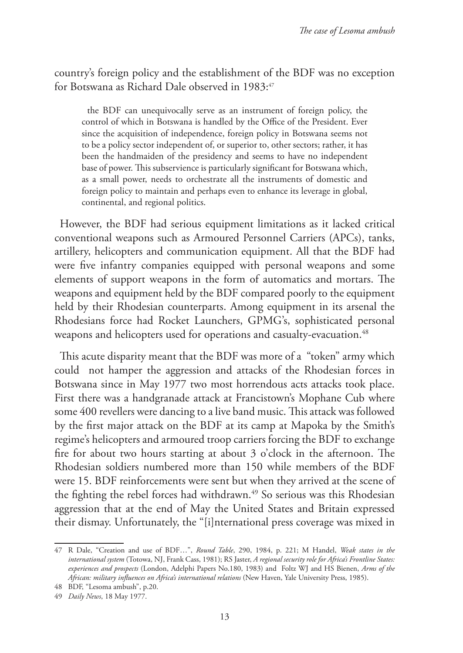country's foreign policy and the establishment of the BDF was no exception for Botswana as Richard Dale observed in 1983:47

the BDF can unequivocally serve as an instrument of foreign policy, the control of which in Botswana is handled by the Office of the President. Ever since the acquisition of independence, foreign policy in Botswana seems not to be a policy sector independent of, or superior to, other sectors; rather, it has been the handmaiden of the presidency and seems to have no independent base of power. This subservience is particularly significant for Botswana which, as a small power, needs to orchestrate all the instruments of domestic and foreign policy to maintain and perhaps even to enhance its leverage in global, continental, and regional politics.

However, the BDF had serious equipment limitations as it lacked critical conventional weapons such as Armoured Personnel Carriers (APCs), tanks, artillery, helicopters and communication equipment. All that the BDF had were five infantry companies equipped with personal weapons and some elements of support weapons in the form of automatics and mortars. The weapons and equipment held by the BDF compared poorly to the equipment held by their Rhodesian counterparts. Among equipment in its arsenal the Rhodesians force had Rocket Launchers, GPMG's, sophisticated personal weapons and helicopters used for operations and casualty-evacuation.<sup>48</sup>

This acute disparity meant that the BDF was more of a "token" army which could not hamper the aggression and attacks of the Rhodesian forces in Botswana since in May 1977 two most horrendous acts attacks took place. First there was a handgranade attack at Francistown's Mophane Cub where some 400 revellers were dancing to a live band music. This attack was followed by the first major attack on the BDF at its camp at Mapoka by the Smith's regime's helicopters and armoured troop carriers forcing the BDF to exchange fire for about two hours starting at about 3 o'clock in the afternoon. The Rhodesian soldiers numbered more than 150 while members of the BDF were 15. BDF reinforcements were sent but when they arrived at the scene of the fighting the rebel forces had withdrawn.<sup>49</sup> So serious was this Rhodesian aggression that at the end of May the United States and Britain expressed their dismay. Unfortunately, the "[i]nternational press coverage was mixed in

<sup>47</sup> R Dale, "Creation and use of BDF…", *Round Table*, 290, 1984, p. 221; M Handel, *Weak states in the international system* (Totowa, NJ, Frank Cass, 1981); RS Jaster, *A regional security role for Africa's Frontline States: experiences and prospects* (London, Adelphi Papers No.180, 1983) and Foltz WJ and HS Bienen, *Arms of the African: military influences on Africa's international relations* (New Haven, Yale University Press, 1985).

<sup>48</sup> BDF, "Lesoma ambush", p.20.

<sup>49</sup> *Daily News*, 18 May 1977.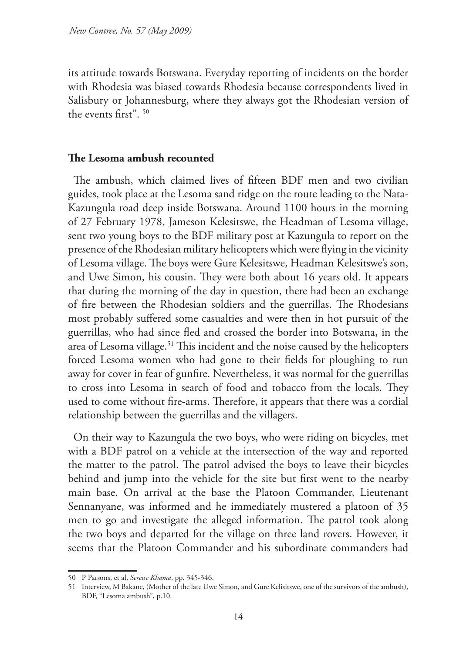its attitude towards Botswana. Everyday reporting of incidents on the border with Rhodesia was biased towards Rhodesia because correspondents lived in Salisbury or Johannesburg, where they always got the Rhodesian version of the events first". 50

### **The Lesoma ambush recounted**

The ambush, which claimed lives of fifteen BDF men and two civilian guides, took place at the Lesoma sand ridge on the route leading to the Nata-Kazungula road deep inside Botswana. Around 1100 hours in the morning of 27 February 1978, Jameson Kelesitswe, the Headman of Lesoma village, sent two young boys to the BDF military post at Kazungula to report on the presence of the Rhodesian military helicopters which were flying in the vicinity of Lesoma village. The boys were Gure Kelesitswe, Headman Kelesitswe's son, and Uwe Simon, his cousin. They were both about 16 years old. It appears that during the morning of the day in question, there had been an exchange of fire between the Rhodesian soldiers and the guerrillas. The Rhodesians most probably suffered some casualties and were then in hot pursuit of the guerrillas, who had since fled and crossed the border into Botswana, in the area of Lesoma village.<sup>51</sup> This incident and the noise caused by the helicopters forced Lesoma women who had gone to their fields for ploughing to run away for cover in fear of gunfire. Nevertheless, it was normal for the guerrillas to cross into Lesoma in search of food and tobacco from the locals. They used to come without fire-arms. Therefore, it appears that there was a cordial relationship between the guerrillas and the villagers.

On their way to Kazungula the two boys, who were riding on bicycles, met with a BDF patrol on a vehicle at the intersection of the way and reported the matter to the patrol. The patrol advised the boys to leave their bicycles behind and jump into the vehicle for the site but first went to the nearby main base. On arrival at the base the Platoon Commander, Lieutenant Sennanyane, was informed and he immediately mustered a platoon of 35 men to go and investigate the alleged information. The patrol took along the two boys and departed for the village on three land rovers. However, it seems that the Platoon Commander and his subordinate commanders had

<sup>50</sup> P Parsons, et al, *Seretse Khama*, pp. 345-346.

<sup>51</sup> Interview, M Bakane, (Mother of the late Uwe Simon, and Gure Kelisitswe, one of the survivors of the ambush), BDF, "Lesoma ambush", p.10.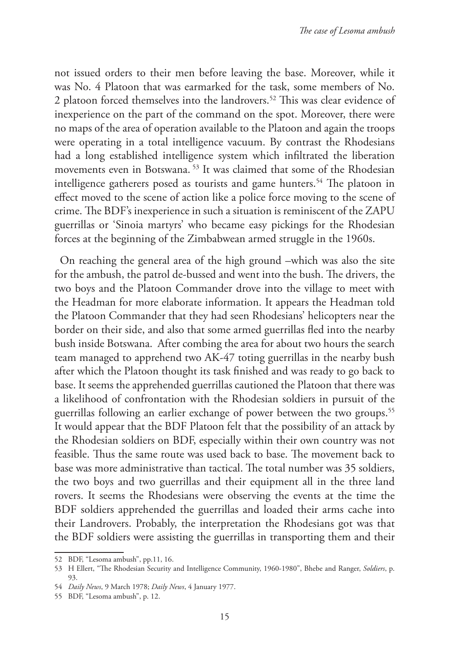not issued orders to their men before leaving the base. Moreover, while it was No. 4 Platoon that was earmarked for the task, some members of No. 2 platoon forced themselves into the landrovers.<sup>52</sup> This was clear evidence of inexperience on the part of the command on the spot. Moreover, there were no maps of the area of operation available to the Platoon and again the troops were operating in a total intelligence vacuum. By contrast the Rhodesians had a long established intelligence system which infiltrated the liberation movements even in Botswana. 53 It was claimed that some of the Rhodesian intelligence gatherers posed as tourists and game hunters.<sup>54</sup> The platoon in effect moved to the scene of action like a police force moving to the scene of crime. The BDF's inexperience in such a situation is reminiscent of the ZAPU guerrillas or 'Sinoia martyrs' who became easy pickings for the Rhodesian forces at the beginning of the Zimbabwean armed struggle in the 1960s.

On reaching the general area of the high ground –which was also the site for the ambush, the patrol de-bussed and went into the bush. The drivers, the two boys and the Platoon Commander drove into the village to meet with the Headman for more elaborate information. It appears the Headman told the Platoon Commander that they had seen Rhodesians' helicopters near the border on their side, and also that some armed guerrillas fled into the nearby bush inside Botswana. After combing the area for about two hours the search team managed to apprehend two AK-47 toting guerrillas in the nearby bush after which the Platoon thought its task finished and was ready to go back to base. It seems the apprehended guerrillas cautioned the Platoon that there was a likelihood of confrontation with the Rhodesian soldiers in pursuit of the guerrillas following an earlier exchange of power between the two groups.<sup>55</sup> It would appear that the BDF Platoon felt that the possibility of an attack by the Rhodesian soldiers on BDF, especially within their own country was not feasible. Thus the same route was used back to base. The movement back to base was more administrative than tactical. The total number was 35 soldiers, the two boys and two guerrillas and their equipment all in the three land rovers. It seems the Rhodesians were observing the events at the time the BDF soldiers apprehended the guerrillas and loaded their arms cache into their Landrovers. Probably, the interpretation the Rhodesians got was that the BDF soldiers were assisting the guerrillas in transporting them and their

<sup>52</sup> BDF, "Lesoma ambush", pp.11, 16.

<sup>53</sup> H Ellert, "The Rhodesian Security and Intelligence Community, 1960-1980", Bhebe and Ranger, *Soldiers*, p. 93.

<sup>54</sup> *Daily News*, 9 March 1978; *Daily News*, 4 January 1977.

<sup>55</sup> BDF, "Lesoma ambush", p. 12.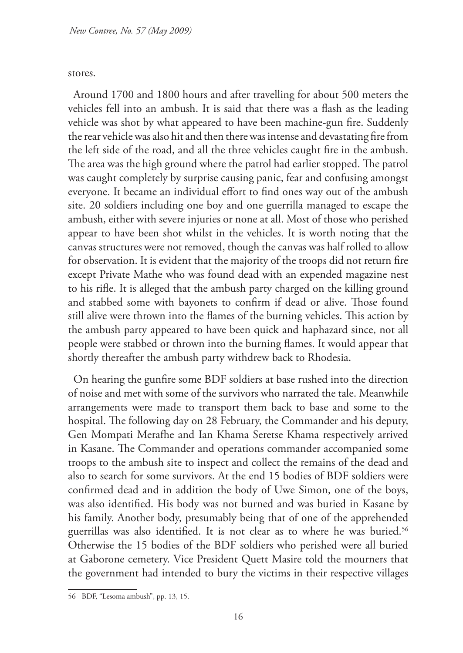stores.

Around 1700 and 1800 hours and after travelling for about 500 meters the vehicles fell into an ambush. It is said that there was a flash as the leading vehicle was shot by what appeared to have been machine-gun fire. Suddenly the rear vehicle was also hit and then there was intense and devastating fire from the left side of the road, and all the three vehicles caught fire in the ambush. The area was the high ground where the patrol had earlier stopped. The patrol was caught completely by surprise causing panic, fear and confusing amongst everyone. It became an individual effort to find ones way out of the ambush site. 20 soldiers including one boy and one guerrilla managed to escape the ambush, either with severe injuries or none at all. Most of those who perished appear to have been shot whilst in the vehicles. It is worth noting that the canvas structures were not removed, though the canvas was half rolled to allow for observation. It is evident that the majority of the troops did not return fire except Private Mathe who was found dead with an expended magazine nest to his rifle. It is alleged that the ambush party charged on the killing ground and stabbed some with bayonets to confirm if dead or alive. Those found still alive were thrown into the flames of the burning vehicles. This action by the ambush party appeared to have been quick and haphazard since, not all people were stabbed or thrown into the burning flames. It would appear that shortly thereafter the ambush party withdrew back to Rhodesia.

On hearing the gunfire some BDF soldiers at base rushed into the direction of noise and met with some of the survivors who narrated the tale. Meanwhile arrangements were made to transport them back to base and some to the hospital. The following day on 28 February, the Commander and his deputy, Gen Mompati Merafhe and Ian Khama Seretse Khama respectively arrived in Kasane. The Commander and operations commander accompanied some troops to the ambush site to inspect and collect the remains of the dead and also to search for some survivors. At the end 15 bodies of BDF soldiers were confirmed dead and in addition the body of Uwe Simon, one of the boys, was also identified. His body was not burned and was buried in Kasane by his family. Another body, presumably being that of one of the apprehended guerrillas was also identified. It is not clear as to where he was buried.<sup>56</sup> Otherwise the 15 bodies of the BDF soldiers who perished were all buried at Gaborone cemetery. Vice President Quett Masire told the mourners that the government had intended to bury the victims in their respective villages

<sup>56</sup> BDF, "Lesoma ambush", pp. 13, 15.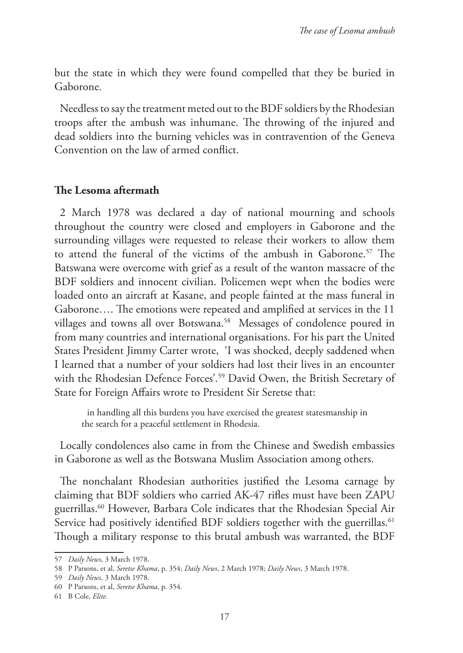but the state in which they were found compelled that they be buried in Gaborone.

Needless to say the treatment meted out to the BDF soldiers by the Rhodesian troops after the ambush was inhumane. The throwing of the injured and dead soldiers into the burning vehicles was in contravention of the Geneva Convention on the law of armed conflict.

### **The Lesoma aftermath**

2 March 1978 was declared a day of national mourning and schools throughout the country were closed and employers in Gaborone and the surrounding villages were requested to release their workers to allow them to attend the funeral of the victims of the ambush in Gaborone.<sup>57</sup> The Batswana were overcome with grief as a result of the wanton massacre of the BDF soldiers and innocent civilian. Policemen wept when the bodies were loaded onto an aircraft at Kasane, and people fainted at the mass funeral in Gaborone…. The emotions were repeated and amplified at services in the 11 villages and towns all over Botswana.<sup>58</sup> Messages of condolence poured in from many countries and international organisations. For his part the United States President Jimmy Carter wrote, 'I was shocked, deeply saddened when I learned that a number of your soldiers had lost their lives in an encounter with the Rhodesian Defence Forces'.<sup>59</sup> David Owen, the British Secretary of State for Foreign Affairs wrote to President Sir Seretse that:

in handling all this burdens you have exercised the greatest statesmanship in the search for a peaceful settlement in Rhodesia.

Locally condolences also came in from the Chinese and Swedish embassies in Gaborone as well as the Botswana Muslim Association among others.

The nonchalant Rhodesian authorities justified the Lesoma carnage by claiming that BDF soldiers who carried AK-47 rifles must have been ZAPU guerrillas.60 However, Barbara Cole indicates that the Rhodesian Special Air Service had positively identified BDF soldiers together with the guerrillas.<sup>61</sup> Though a military response to this brutal ambush was warranted, the BDF

<sup>57</sup> *Daily News*, 3 March 1978.

<sup>58</sup> P Parsons, et al, *Seretse Khama*, p. 354; *Daily News*, 2 March 1978; *Daily News*, 3 March 1978.

<sup>59</sup> *Daily News*, 3 March 1978.

<sup>60</sup> P Parsons, et al, *Seretse Khama,* p. 354*.* 

<sup>61</sup> B Cole, *Elite*.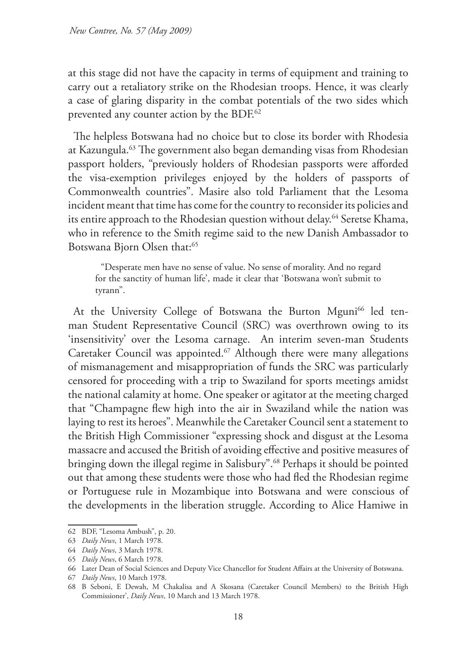at this stage did not have the capacity in terms of equipment and training to carry out a retaliatory strike on the Rhodesian troops. Hence, it was clearly a case of glaring disparity in the combat potentials of the two sides which prevented any counter action by the BDF.<sup>62</sup>

The helpless Botswana had no choice but to close its border with Rhodesia at Kazungula.63 The government also began demanding visas from Rhodesian passport holders, "previously holders of Rhodesian passports were afforded the visa-exemption privileges enjoyed by the holders of passports of Commonwealth countries". Masire also told Parliament that the Lesoma incident meant that time has come for the country to reconsider its policies and its entire approach to the Rhodesian question without delay.<sup>64</sup> Seretse Khama, who in reference to the Smith regime said to the new Danish Ambassador to Botswana Bjorn Olsen that:<sup>65</sup>

"Desperate men have no sense of value. No sense of morality. And no regard for the sanctity of human life', made it clear that 'Botswana won't submit to tyrann".

At the University College of Botswana the Burton Mguni<sup>66</sup> led tenman Student Representative Council (SRC) was overthrown owing to its 'insensitivity' over the Lesoma carnage. An interim seven-man Students Caretaker Council was appointed.67 Although there were many allegations of mismanagement and misappropriation of funds the SRC was particularly censored for proceeding with a trip to Swaziland for sports meetings amidst the national calamity at home. One speaker or agitator at the meeting charged that "Champagne flew high into the air in Swaziland while the nation was laying to rest its heroes". Meanwhile the Caretaker Council sent a statement to the British High Commissioner "expressing shock and disgust at the Lesoma massacre and accused the British of avoiding effective and positive measures of bringing down the illegal regime in Salisbury".<sup>68</sup> Perhaps it should be pointed out that among these students were those who had fled the Rhodesian regime or Portuguese rule in Mozambique into Botswana and were conscious of the developments in the liberation struggle. According to Alice Hamiwe in

<sup>62</sup> BDF, "Lesoma Ambush", p. 20.

<sup>63</sup> *Daily News*, 1 March 1978.

<sup>64</sup> *Daily News*, 3 March 1978.

<sup>65</sup> *Daily News*, 6 March 1978.

<sup>66</sup> Later Dean of Social Sciences and Deputy Vice Chancellor for Student Affairs at the University of Botswana.

<sup>67</sup> *Daily News*, 10 March 1978.

<sup>68</sup> B Seboni, E Dewah, M Chakalisa and A Skosana (Caretaker Council Members) to the British High Commissioner', *Daily News*, 10 March and 13 March 1978.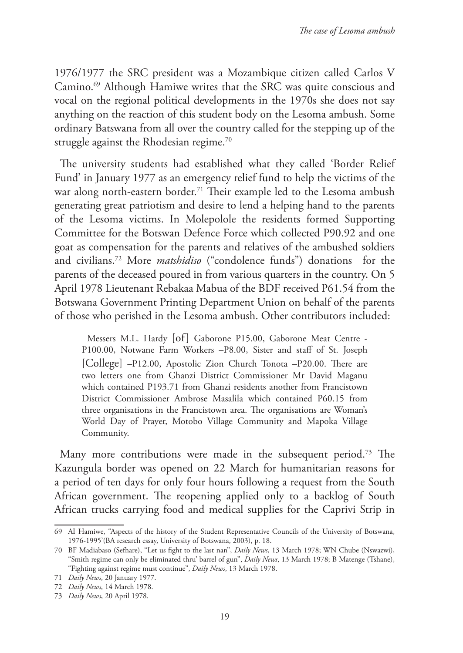1976/1977 the SRC president was a Mozambique citizen called Carlos V Camino.69 Although Hamiwe writes that the SRC was quite conscious and vocal on the regional political developments in the 1970s she does not say anything on the reaction of this student body on the Lesoma ambush. Some ordinary Batswana from all over the country called for the stepping up of the struggle against the Rhodesian regime.<sup>70</sup>

The university students had established what they called 'Border Relief Fund' in January 1977 as an emergency relief fund to help the victims of the war along north-eastern border.<sup>71</sup> Their example led to the Lesoma ambush generating great patriotism and desire to lend a helping hand to the parents of the Lesoma victims. In Molepolole the residents formed Supporting Committee for the Botswan Defence Force which collected P90.92 and one goat as compensation for the parents and relatives of the ambushed soldiers and civilians.72 More *matshidiso* ("condolence funds") donations for the parents of the deceased poured in from various quarters in the country. On 5 April 1978 Lieutenant Rebakaa Mabua of the BDF received P61.54 from the Botswana Government Printing Department Union on behalf of the parents of those who perished in the Lesoma ambush. Other contributors included:

Messers M.L. Hardy [of] Gaborone P15.00, Gaborone Meat Centre - P100.00, Notwane Farm Workers –P8.00, Sister and staff of St. Joseph [College] –P12.00, Apostolic Zion Church Tonota –P20.00. There are two letters one from Ghanzi District Commissioner Mr David Maganu which contained P193.71 from Ghanzi residents another from Francistown District Commissioner Ambrose Masalila which contained P60.15 from three organisations in the Francistown area. The organisations are Woman's World Day of Prayer, Motobo Village Community and Mapoka Village Community.

Many more contributions were made in the subsequent period.<sup>73</sup> The Kazungula border was opened on 22 March for humanitarian reasons for a period of ten days for only four hours following a request from the South African government. The reopening applied only to a backlog of South African trucks carrying food and medical supplies for the Caprivi Strip in

<sup>69</sup> AI Hamiwe, "Aspects of the history of the Student Representative Councils of the University of Botswana, 1976-1995'(BA research essay, University of Botswana, 2003), p. 18.

<sup>70</sup> BF Madiabaso (Sefhare), "Let us fight to the last nan", *Daily News*, 13 March 1978; WN Chube (Nswazwi), "Smith regime can only be eliminated thru' barrel of gun", *Daily News*, 13 March 1978; B Matenge (Tshane), "Fighting against regime must continue", *Daily News*, 13 March 1978.

<sup>71</sup> *Daily News*, 20 January 1977.

<sup>72</sup> *Daily News*, 14 March 1978.

<sup>73</sup> *Daily News*, 20 April 1978.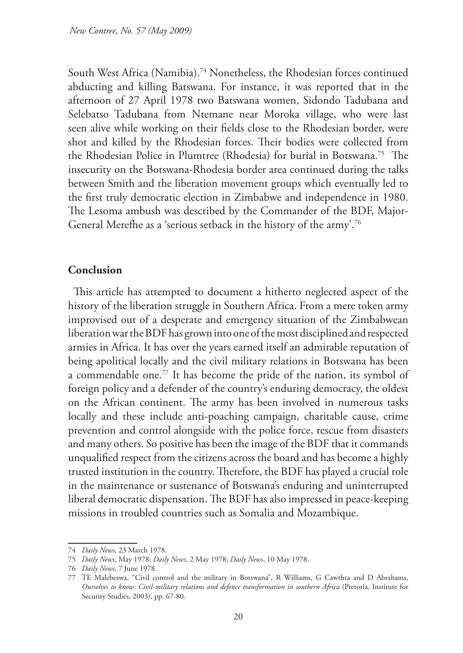South West Africa (Namibia).<sup>74</sup> Nonetheless, the Rhodesian forces continued abducting and killing Batswana. For instance, it was reported that in the afternoon of 27 April 1978 two Batswana women, Sidondo Tadubana and Selebatso Tadubana from Ntemane near Moroka village, who were last seen alive while working on their fields close to the Rhodesian border, were shot and killed by the Rhodesian forces. Their bodies were collected from the Rhodesian Police in Plumtree (Rhodesia) for burial in Botswana.75 The insecurity on the Botswana-Rhodesia border area continued during the talks between Smith and the liberation movement groups which eventually led to the first truly democratic election in Zimbabwe and independence in 1980. The Lesoma ambush was described by the Commander of the BDF, Major-General Merefhe as a 'serious setback in the history of the army'.76

### **Conclusion**

This article has attempted to document a hitherto neglected aspect of the history of the liberation struggle in Southern Africa. From a mere token army improvised out of a desperate and emergency situation of the Zimbabwean liberation war the BDF has grown into one of the most disciplined and respected armies in Africa. It has over the years earned itself an admirable reputation of being apolitical locally and the civil military relations in Botswana has been a commendable one.77 It has become the pride of the nation, its symbol of foreign policy and a defender of the country's enduring democracy, the oldest on the African continent. The army has been involved in numerous tasks locally and these include anti-poaching campaign, charitable cause, crime prevention and control alongside with the police force, rescue from disasters and many others. So positive has been the image of the BDF that it commands unqualified respect from the citizens across the board and has become a highly trusted institution in the country. Therefore, the BDF has played a crucial role in the maintenance or sustenance of Botswana's enduring and uninterrupted liberal democratic dispensation. The BDF has also impressed in peace-keeping missions in troubled countries such as Somalia and Mozambique.

<sup>74</sup> *Daily News*, 23 March 1978.

<sup>75</sup> *Daily News*, May 1978; *Daily News*, 2 May 1978; *Daily News*, 10 May 1978.

<sup>76</sup> *Daily News*, 7 June 1978.

<sup>77</sup> TE Malebeswa, "Civil control and the military in Botswana", R Williams, G Cawthra and D Abrahams, *Ourselves to know: Civil-military relations and defence transformation in southern Africa* (Pretoria, Institute for Security Studies, 2003), pp. 67-80.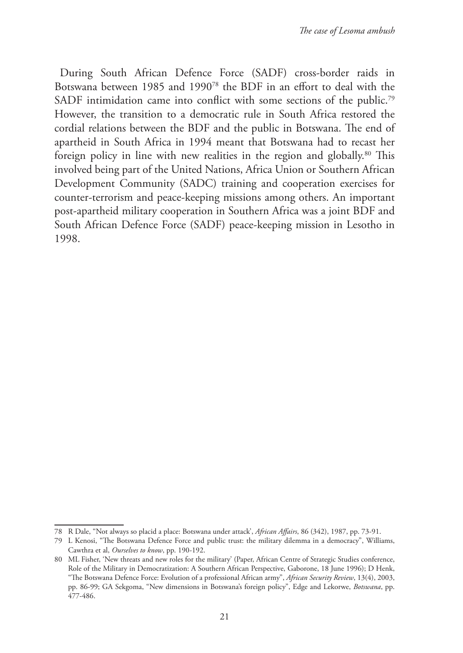During South African Defence Force (SADF) cross-border raids in Botswana between 1985 and 199078 the BDF in an effort to deal with the SADF intimidation came into conflict with some sections of the public.<sup>79</sup> However, the transition to a democratic rule in South Africa restored the cordial relations between the BDF and the public in Botswana. The end of apartheid in South Africa in 1994 meant that Botswana had to recast her foreign policy in line with new realities in the region and globally.80 This involved being part of the United Nations, Africa Union or Southern African Development Community (SADC) training and cooperation exercises for counter-terrorism and peace-keeping missions among others. An important post-apartheid military cooperation in Southern Africa was a joint BDF and South African Defence Force (SADF) peace-keeping mission in Lesotho in 1998.

<sup>78</sup> R Dale, "Not always so placid a place: Botswana under attack', *African Affairs*, 86 (342), 1987, pp. 73-91.

<sup>79</sup> L Kenosi, "The Botswana Defence Force and public trust: the military dilemma in a democracy", Williams, Cawthra et al, *Ourselves to know*, pp. 190-192.

<sup>80</sup> ML Fisher, 'New threats and new roles for the military' (Paper, African Centre of Strategic Studies conference, Role of the Military in Democratization: A Southern African Perspective, Gaborone, 18 June 1996); D Henk, "The Botswana Defence Force: Evolution of a professional African army", *African Security Review*, 13(4), 2003, pp. 86-99; GA Sekgoma, "New dimensions in Botswana's foreign policy", Edge and Lekorwe, *Botswana*, pp. 477-486.